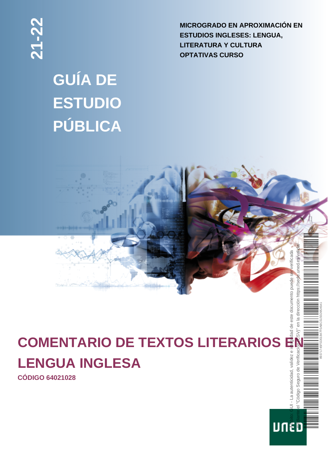

**MICROGRADO EN APROXIMACIÓN EN ESTUDIOS INGLESES: LENGUA, LITERATURA Y CULTURA OPTATIVAS CURSO**

mediante el "Código Seguro de Verificación (CSV)" en la dirección https://sede.uned.es/valida/

 $\frac{1}{a}$ 

UNED

89371745F5D01847F0ABC5155D95A541

## **GUÍA DE ESTUDIO PÚBLICA**

# **COMENTARIO DE TEXTOS LITERARIOS EN ENGLISHERED COMENTARIO DE TEXTOS LITERARIOS EN ENGLISHERED COMENTARIO DE TEXTOS LITERARIOS EN ENGLISHERED COMENTARIOS EN ENGLISHERED COMENTARIOS EN ENGLISHERED COMENTARIOS EN ENGLISHERED LENGUA INGLESA** Ámbito: GUI - La autenticidad, validez e integridad de este documento puede ser verificada

**CÓDIGO 64021028**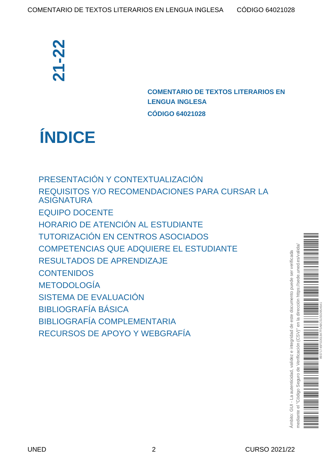**COMENTARIO DE TEXTOS LITERARIOS EN LENGUA INGLESA CÓDIGO 64021028**

## **ÍNDICE**

[PRESENTACIÓN Y CONTEXTUALIZACIÓN](#page-2-0) [REQUISITOS Y/O RECOMENDACIONES PARA CURSAR LA](#page-3-0) [ASIGNATURA](#page-3-0) [EQUIPO DOCENTE](#page-3-1) [HORARIO DE ATENCIÓN AL ESTUDIANTE](#page-4-0) [TUTORIZACIÓN EN CENTROS ASOCIADOS](#page-5-0) [COMPETENCIAS QUE ADQUIERE EL ESTUDIANTE](#page-5-0) [RESULTADOS DE APRENDIZAJE](#page-6-0) **[CONTENIDOS](#page-6-1)** [METODOLOGÍA](#page-7-0) [SISTEMA DE EVALUACIÓN](#page-8-0) [BIBLIOGRAFÍA BÁSICA](#page-9-0) [BIBLIOGRAFÍA COMPLEMENTARIA](#page-10-0) ENGLA COMENTARIC<br>
COMENTARIC<br>
COMENTARIC<br>
COMENTARIC CONDECISE<br>
RECUISITOS Y/O RECOMENDACIONES<br>
ASIGNATURA<br>
EQUIPO DOCENTE<br>
HORARIO DE ATENCIÓN AL ESTUDIAN<br>
TUTORIZACIÓN EN CENTROS ASOCIA<br>
COMPETENCIAS QUE ADQUIERE EL E<br>
R

mediante el "Código Seguro de Verificación (CSV)" en la dirección https://sede.uned.es/valida/ https://sede.uned.es/valida Ambito: GUI - La autenticidad, validez e integridad de este documento puede ser verificada Ámbito: GUI - La autenticidad, validez e integridad de este documento puede ser verificada dirección  $\frac{a}{2}$  $\overline{6}$  $(CSV)^n$ Verificación  $rac{1}{\alpha}$ Seguro o Código  $\overline{\omega}$ nediante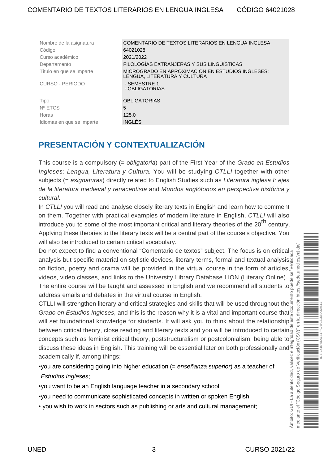| Nombre de la asignatura   | COMENTARIO DE TEXTOS LITERARIOS EN LENGUA INGLESA                                |
|---------------------------|----------------------------------------------------------------------------------|
| Código                    | 64021028                                                                         |
| Curso académico           | 2021/2022                                                                        |
| Departamento              | FILOLOGÍAS EXTRANJERAS Y SUS LINGÜÍSTICAS                                        |
| Título en que se imparte  | MICROGRADO EN APROXIMACIÓN EN ESTUDIOS INGLESES:<br>LENGUA, LITERATURA Y CULTURA |
| <b>CURSO - PERIODO</b>    | - SEMESTRE 1<br>- OBLIGATORIAS                                                   |
| Tipo                      | <b>OBLIGATORIAS</b>                                                              |
| Nº ETCS                   | 5                                                                                |
| Horas                     | 125.0                                                                            |
| Idiomas en que se imparte | <b>INGLÉS</b>                                                                    |

#### <span id="page-2-0"></span>**PRESENTACIÓN Y CONTEXTUALIZACIÓN**

This course is a compulsory  $(=$  obligatoria) part of the First Year of the Grado en Estudios Ingleses: Lengua, Literatura y Cultura. You will be studying CTLLI together with other subjects (= asignaturas) directly related to English Studies such as Literatura inglesa I: ejes de la literatura medieval y renacentista and Mundos anglófonos en perspectiva histórica y cultural.

In CTLLI you will read and analyse closely literary texts in English and learn how to comment on them. Together with practical examples of modern literature in English, CTLLI will also introduce you to some of the most important critical and literary theories of the  $20<sup>th</sup>$  century. Applying these theories to the literary texts will be a central part of the course's objective. You will also be introduced to certain critical vocabulary.

Do not expect to find a conventional "Comentario de textos" subject. The focus is on critical<sup>®</sup> analysis but specific material on stylistic devices, literary terms, formal and textual analysis. on fiction, poetry and drama will be provided in the virtual course in the form of articles, videos, video classes, and links to the University Library Database LION (Literary Online). videos, video classes, and links to the University Library Database LION (Literary Online).  $\frac{w}{8}$ <br>The entire course will be taught and assessed in English and we recommend all students to  $\frac{w}{8}$ address emails and debates in the virtual course in English.

Ámbito: GUI - La autenticidad, validez e integridad de este documento puede ser verificada CTLLI will strengthen literary and critical strategies and skills that will be used throughout the Grado en Estudios Ingleses, and this is the reason why it is a vital and important course that  $\frac{8}{3}$ will set foundational knowledge for students. It will ask you to think about the relationship<sup>®</sup> between critical theory, close reading and literary texts and you will be introduced to certain  $\frac{1}{2}$ concepts such as feminist critical theory, poststructuralism or postcolonialism, being able to discuss these ideas in English. This training will be essential later on both professionally and academically if, among things: mbito: GUI - La autenticidad, validez

#### • you are considering going into higher education (= enseñanza superior) as a teacher of Estudios Ingleses;

- you want to be an English language teacher in a secondary school;
- you need to communicate sophisticated concepts in written or spoken English;
- you wish to work in sectors such as publishing or arts and cultural management;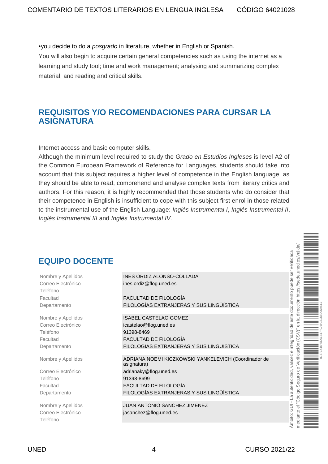•you decide to do a posgrado in literature, whether in English or Spanish.

You will also begin to acquire certain general competencies such as using the internet as a learning and study tool; time and work management; analysing and summarizing complex material; and reading and critical skills.

#### <span id="page-3-0"></span>**REQUISITOS Y/O RECOMENDACIONES PARA CURSAR LA ASIGNATURA**

Internet access and basic computer skills.

Although the minimum level required to study the Grado en Estudios Ingleses is level A2 of the Common European Framework of Reference for Languages, students should take into account that this subject requires a higher level of competence in the English language, as they should be able to read, comprehend and analyse complex texts from literary critics and authors. For this reason, it is highly recommended that those students who do consider that their competence in English is insufficient to cope with this subject first enrol in those related to the instrumental use of the English Language: Inglés Instrumental I, Inglés Instrumental II, Inglés Instrumental III and Inglés Instrumental IV.

<span id="page-3-1"></span>

| <b>EQUIPO DOCENTE</b>                                                            |                                                                                                                                                                                  | es/valida                                                                                                  |
|----------------------------------------------------------------------------------|----------------------------------------------------------------------------------------------------------------------------------------------------------------------------------|------------------------------------------------------------------------------------------------------------|
| Nombre y Apellidos<br>Correo Electrónico<br>Teléfono<br>Facultad<br>Departamento | INES ORDIZ ALONSO-COLLADA<br>ines.ordiz@flog.uned.es<br>FACULTAD DE FILOLOGÍA<br>FILOLOGÍAS EXTRANJERAS Y SUS LINGÜÍSTICA                                                        | este documento puede ser verificada<br>uned.<br>https://sed<br>dirección                                   |
| Nombre y Apellidos<br>Correo Electrónico<br>Teléfono<br>Facultad<br>Departamento | <b>ISABEL CASTELAO GOMEZ</b><br>icastelao@flog.uned.es<br>91398-8469<br>FACULTAD DE FILOLOGÍA<br>FILOLOGÍAS EXTRANJERAS Y SUS LINGÜÍSTICA                                        | $\overline{a}$<br>$\frac{1}{2}$<br>e integridad de<br>SV)<br>$\rm \odot$                                   |
| Nombre y Apellidos<br>Correo Electrónico<br>Teléfono<br>Facultad<br>Departamento | ADRIANA NOEMI KICZKOWSKI YANKELEVICH (Coordinador de<br>asignatura)<br>adrianaky@flog.uned.es<br>91398-8699<br>FACULTAD DE FILOLOGÍA<br>FILOLOGÍAS EXTRANJERAS Y SUS LINGÜÍSTICA | Verificación<br>autenticidad, validez<br>$\frac{1}{\alpha}$<br>eguro<br>$\omega$<br>ódigo<br>$\frac{1}{2}$ |
| Nombre y Apellidos<br>Correo Electrónico<br>Teléfono                             | JUAN ANTONIO SANCHEZ JIMENEZ<br>jasanchez@flog.uned.es                                                                                                                           | Ō<br>Ámbito: GUI<br>$\overline{\Phi}$<br>$\omega$<br>mediant                                               |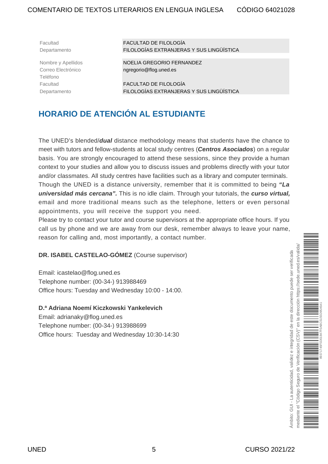Teléfono

Facultad FACULTAD DE FILOLOGÍA Departamento FILOLOGÍAS EXTRANJERAS Y SUS LINGÜÍSTICA

Nombre y Apellidos NOELIA GREGORIO FERNANDEZ Correo Electrónico **ngregorio@flog.uned.es** 

Facultad FACULTAD DE FILOLOGÍA Departamento FILOLOGÍAS EXTRANJERAS Y SUS LINGÜÍSTICA

### <span id="page-4-0"></span>**HORARIO DE ATENCIÓN AL ESTUDIANTE**

The UNED's blended/**dual** distance methodology means that students have the chance to meet with tutors and fellow-students at local study centres (**Centros Asociados**) on a regular basis. You are strongly encouraged to attend these sessions, since they provide a human context to your studies and allow you to discuss issues and problems directly with your tutor and/or classmates. All study centres have facilities such as a library and computer terminals. Though the UNED is a distance university, remember that it is committed to being **"La universidad más cercana".** This is no idle claim. Through your tutorials, the **curso virtual,** email and more traditional means such as the telephone, letters or even personal appointments, you will receive the support you need.

Please try to contact your tutor and course supervisors at the appropriate office hours. If you call us by phone and we are away from our desk, remember always to leave your name, reason for calling and, most importantly, a contact number.

**DR. ISABEL CASTELAO-GÓMEZ** (Course supervisor)

Email: [icastelao@flog.uned.es](mailto:icastelao@flog.uned.es) Telephone number: (00-34-) 913988469 Office hours: Tuesday and Wednesday 10:00 - 14:00.

#### **D.ª Adriana Noemí Kiczkowski Yankelevich**

Email: [adrianaky@flog.uned.es](mailto:adrianaky@flog.uned.esv) Telephone number: (00-34-) 913988699 Office hours: Tuesday and Wednesday 10:30-14:30

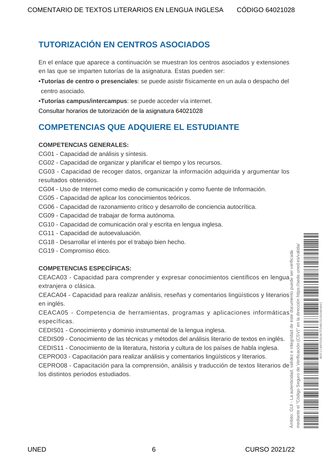#### <span id="page-5-0"></span>**TUTORIZACIÓN EN CENTROS ASOCIADOS**

En el enlace que aparece a continuación se muestran los centros asociados y extensiones en las que se imparten tutorías de la asignatura. Estas pueden ser:

- **• Tutorías de centro o presenciales**: se puede asistir físicamente en un aula o despacho del centro asociado.
- **• Tutorías campus/intercampus**: se puede acceder vía internet.

[Consultar horarios de tutorización de la asignatura 64021028](https://akademosweb.uned.es/Default.aspx?id_servicio=19&modo_23=1&asigna=64021028)

#### **COMPETENCIAS QUE ADQUIERE EL ESTUDIANTE**

#### **COMPETENCIAS GENERALES:**

- CG01 Capacidad de análisis y síntesis.
- CG02 Capacidad de organizar y planificar el tiempo y los recursos.

CG03 - Capacidad de recoger datos, organizar la información adquirida y argumentar los resultados obtenidos.

- CG04 Uso de Internet como medio de comunicación y como fuente de Información.
- CG05 Capacidad de aplicar los conocimientos teóricos.
- CG06 Capacidad de razonamiento crítico y desarrollo de conciencia autocrítica.
- CG09 Capacidad de trabajar de forma autónoma.
- CG10 Capacidad de comunicación oral y escrita en lengua inglesa.
- CG11 Capacidad de autoevaluación.
- CG18 Desarrollar el interés por el trabajo bien hecho.
- CG19 Compromiso ético.

#### **COMPETENCIAS ESPECÍFICAS:**

CEACA03 - Capacidad para comprender y expresar conocimientos científicos en lengua extranjera o clásica.

CEACA04 - Capacidad para realizar análisis, reseñas y comentarios lingüísticos y literarios en inglés.

CEACA05 - Competencia de herramientas, programas y aplicaciones informáticas específicas.

CEDIS01 - Conocimiento y dominio instrumental de la lengua inglesa.

CEDIS09 - Conocimiento de las técnicas y métodos del análisis literario de textos en inglés.

- CEDIS11 Conocimiento de la literatura, historia y cultura de los países de habla inglesa.
- CEPRO03 Capacitación para realizar análisis y comentarios lingüísticos y literarios.

CEPRO08 - Capacitación para la comprensión, análisis y traducción de textos literarios de los distintos periodos estudiados.

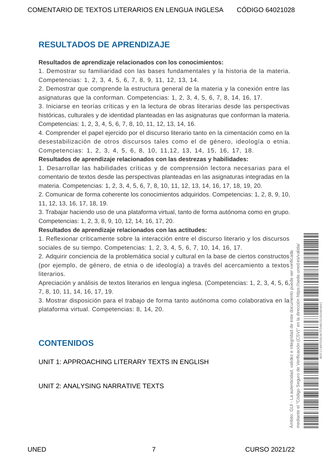#### <span id="page-6-0"></span>**RESULTADOS DE APRENDIZAJE**

#### **Resultados de aprendizaje relacionados con los conocimientos:**

1. Demostrar su familiaridad con las bases fundamentales y la historia de la materia. Competencias: 1, 2, 3, 4, 5, 6, 7, 8, 9, 11, 12, 13, 14.

2. Demostrar que comprende la estructura general de la materia y la conexión entre las asignaturas que la conforman. Competencias: 1, 2, 3, 4, 5, 6, 7, 8, 14, 16, 17.

3. Iniciarse en teorías críticas y en la lectura de obras literarias desde las perspectivas históricas, culturales y de identidad planteadas en las asignaturas que conforman la materia. Competencias: 1, 2, 3, 4, 5, 6, 7, 8, 10, 11, 12, 13, 14, 16.

4. Comprender el papel ejercido por el discurso literario tanto en la cimentación como en la desestabilización de otros discursos tales como el de género, ideología o etnia. Competencias: 1, 2, 3, 4, 5, 6, 8, 10, 11,12, 13, 14, 15, 16, 17, 18.

**Resultados de aprendizaje relacionados con las destrezas y habilidades:**

1. Desarrollar las habilidades críticas y de comprensión lectora necesarias para el comentario de textos desde las perspectivas planteadas en las asignaturas integradas en la materia. Competencias: 1, 2, 3, 4, 5, 6, 7, 8, 10, 11, 12, 13, 14, 16, 17, 18, 19, 20.

2. Comunicar de forma coherente los conocimientos adquiridos. Competencias: 1, 2, 8, 9, 10, 11, 12, 13, 16, 17, 18, 19.

3. Trabajar haciendo uso de una plataforma virtual, tanto de forma autónoma como en grupo. Competencias: 1, 2, 3, 8, 9, 10, 12, 14, 16, 17, 20.

**Resultados de aprendizaje relacionados con las actitudes:**

1. Reflexionar críticamente sobre la interacción entre el discurso literario y los discursos sociales de su tiempo. Competencias: 1, 2, 3, 4, 5, 6, 7, 10, 14, 16, 17.

2. Adquirir conciencia de la problemática social y cultural en la base de ciertos constructos (por ejemplo, de género, de etnia o de ideología) a través del acercamiento a textos literarios.

Apreciación y análisis de textos literarios en lengua inglesa. (Competencias: 1, 2, 3, 4, 5, 6, 7, 8, 10, 11, 14, 16, 17, 19.

3. Mostrar disposición para el trabajo de forma tanto autónoma como colaborativa en la plataforma virtual. Competencias: 8, 14, 20.

#### <span id="page-6-1"></span>**CONTENIDOS**

UNIT 1: APPROACHING LITERARY TEXTS IN ENGLISH

UNIT 2: ANALYSING NARRATIVE TEXTS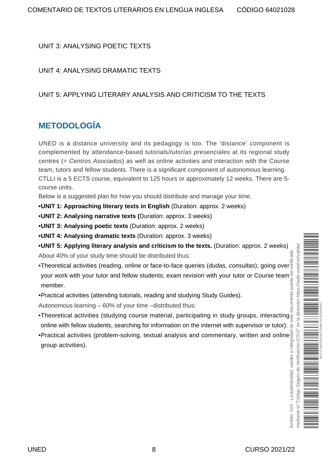#### UNIT 3: ANALYSING POETIC TEXTS

#### UNIT 4: ANALYSING DRAMATIC TEXTS

#### UNIT 5: APPLYING LITERARY ANALYSIS AND CRITICISM TO THE TEXTS

#### <span id="page-7-0"></span>**METODOLOGÍA**

UNED is a distance university and its pedagogy is too. The 'distance' component is complemented by attendance-based tutorials/tutorías presenciales at its regional study centres (= Centros Asociados) as well as online activities and interaction with the Course team, tutors and fellow students. There is a significant component of autonomous learning. CTLLI is a 5 ECTS course, equivalent to 125 hours or approximately 12 weeks. There are 5 course units.

Below is a suggested plan for how you should distribute and manage your time.

**• UNIT 1: Approaching literary texts in English** (Duration: approx. 2 weeks)

**• UNIT 2: Analysing narrative texts (**Duration: approx. 3 weeks)

**• UNIT 3: Analysing poetic texts** (Duration: approx. 2 weeks)

**• UNIT 4: Analysing dramatic texts** (Duration: approx. 3 weeks)

- **• UNIT 5: Applying literary analysis and criticism to the texts.** (Duration: approx. 2 weeks) About 40% of your study time should be distributed thus:
- Theoretical activities (reading, online or face-to-face queries (dudas, consultas); going over your work with your tutor and fellow students; exam revision with your tutor or Course team member.

• Practical activities (attending tutorials, reading and studying Study Guides).

Autonomous learning – 60% of your time –distributed thus:

- Theoretical activities (studying course material, participating in study groups, interacting online with fellow students, searching for information on the internet with supervisor or tutor).
- Practical activities (problem-solving, textual analysis and commentary, written and online group activities).

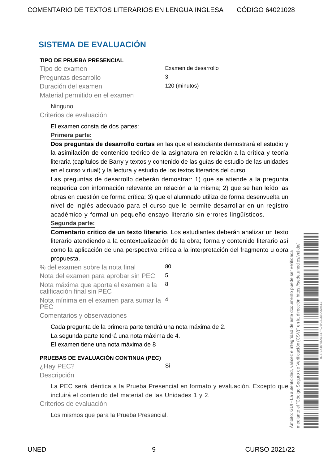#### <span id="page-8-0"></span>**SISTEMA DE EVALUACIÓN**

#### **TIPO DE PRUEBA PRESENCIAL**

Tipo de examen Examen de desarrollo Preguntas desarrollo 3 Duración del examen 120 (minutos) Material permitido en el examen

Ninguno Criterios de evaluación

#### El examen consta de dos partes:

#### **Primera parte:**

**Dos preguntas de desarrollo cortas** en las que el estudiante demostrará el estudio y la asimilación de contenido teórico de la asignatura en relación a la crítica y teoría literaria (capítulos de Barry y textos y contenido de las guías de estudio de las unidades en el curso virtual) y la lectura y estudio de los textos literarios del curso.

Las preguntas de desarrollo deberán demostrar: 1) que se atiende a la pregunta requerida con información relevante en relación a la misma; 2) que se han leído las obras en cuestión de forma crítica; 3) que el alumnado utiliza de forma desenvuelta un nivel de inglés adecuado para el curso que le permite desarrollar en un registro académico y formal un pequeño ensayo literario sin errores lingüísticos. **Segunda parte:**

**Comentario critico de un texto literario**. Los estudiantes deberán analizar un texto literario atendiendo a la contextualización de la obra; forma y contenido literario así como la aplicación de una perspectiva crítica a la interpretación del fragmento u obra propuesta.

% del examen sobre la nota final  $\sim$  80 Nota del examen para aprobar sin PEC 5 Nota máxima que aporta el examen a la calificación final sin PEC 8 Nota mínima en el examen para sumar la 4 PEC

Comentarios y observaciones

Cada pregunta de la primera parte tendrá una nota máxima de 2. La segunda parte tendrá una nota máxima de 4. El examen tiene una nota máxima de 8

#### **PRUEBAS DE EVALUACIÓN CONTINUA (PEC)**

¿Hay PEC? Si Descripción

La PEC será idéntica a la Prueba Presencial en formato y evaluación. Excepto que incluirá el contenido del material de las Unidades 1 y 2.

Criterios de evaluación

Los mismos que para la Prueba Presencial.

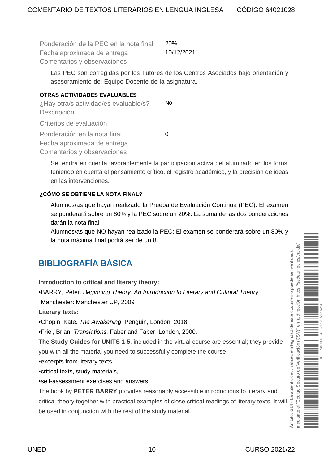Ponderación de la PEC en la nota final 20% Fecha aproximada de entrega 10/12/2021 Comentarios y observaciones

Las PEC son corregidas por los Tutores de los Centros Asociados bajo orientación y asesoramiento del Equipo Docente de la asignatura.

#### **OTRAS ACTIVIDADES EVALUABLES**

¿Hay otra/s actividad/es evaluable/s? No Descripción Criterios de evaluación

Ponderación en la nota final  $\overline{0}$ Fecha aproximada de entrega Comentarios y observaciones

Se tendrá en cuenta favorablemente la participación activa del alumnado en los foros, teniendo en cuenta el pensamiento crítico, el registro académico, y la precisión de ideas en las intervenciones.

#### **¿CÓMO SE OBTIENE LA NOTA FINAL?**

Alumnos/as que hayan realizado la Prueba de Evaluación Continua (PEC): El examen se ponderará sobre un 80% y la PEC sobre un 20%. La suma de las dos ponderaciones darán la nota final.

Alumnos/as que NO hayan realizado la PEC: El examen se ponderará sobre un 80% y la nota máxima final podrá ser de un 8.

#### <span id="page-9-0"></span>**BIBLIOGRAFÍA BÁSICA**

**Introduction to critical and literary theory:**

• BARRY, Peter. Beginning Theory. An Introduction to Literary and Cultural Theory.

Manchester: Manchester UP, 2009

**Literary texts:**

• Chopin, Kate. The Awakening. Penguin, London, 2018.

• Friel, Brian. Translations. Faber and Faber. London, 2000.

**The Study Guides for UNITS 1-5**, included in the virtual course are essential; they provide you with all the material you need to successfully complete the course:

• excerpts from literary texts,

• critical texts, study materials,

• self-assessment exercises and answers.

The book by **PETER BARRY** provides reasonably accessible introductions to literary and critical theory together with practical examples of close critical readings of literary texts. It will be used in conjunction with the rest of the study material.

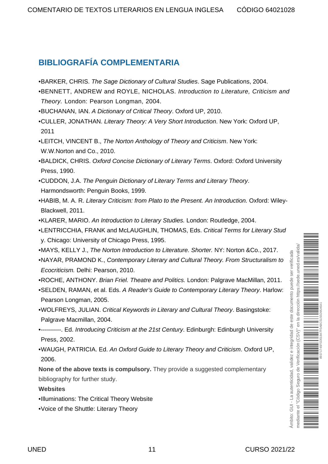#### <span id="page-10-0"></span>**BIBLIOGRAFÍA COMPLEMENTARIA**

- BARKER, CHRIS. The Sage Dictionary of Cultural Studies. Sage Publications, 2004.
- BENNETT, ANDREW and ROYLE, NICHOLAS. Introduction to Literature, Criticism and Theory. London: Pearson Longman, 2004.
- BUCHANAN, IAN. A Dictionary of Critical Theory. Oxford UP, 2010.
- CULLER, JONATHAN. Literary Theory: A Very Short Introduction. New York: Oxford UP, 2011
- LEITCH, VINCENT B., The Norton Anthology of Theory and Criticism. New York: W.W.Norton and Co., 2010.
- BALDICK, CHRIS. Oxford Concise Dictionary of Literary Terms. Oxford: Oxford University Press, 1990.
- CUDDON, J.A. The Penguin Dictionary of Literary Terms and Literary Theory. Harmondsworth: Penguin Books, 1999.
- HABIB, M. A. R. Literary Criticism: from Plato to the Present. An Introduction. Oxford: Wiley-Blackwell, 2011.
- KLARER, MARIO. An Introduction to Literary Studies. London: Routledge, 2004.
- LENTRICCHIA, FRANK and McLAUGHLIN, THOMAS, Eds. Critical Terms for Literary Stud y. Chicago: University of Chicago Press, 1995.
- MAYS, KELLY J., The Norton Introduction to Literature. Shorter. NY: Norton &Co., 2017.
- NAYAR, PRAMOND K., Contemporary Literary and Cultural Theory. From Structuralism to Ecocriticism. Delhi: Pearson, 2010.
- ROCHE, ANTHONY. Brian Friel. Theatre and Politics. London: Palgrave MacMillan, 2011.
- SELDEN, RAMAN, et al. Eds. A Reader's Guide to Contemporary Literary Theory. Harlow: Pearson Longman, 2005.
- WOLFREYS, JULIAN. Critical Keywords in Literary and Cultural Theory. Basingstoke: Palgrave Macmillan, 2004.
- •----------. Ed. Introducing Criticism at the 21st Century. Edinburgh: Edinburgh University Press, 2002.
- WAUGH, PATRICIA. Ed. An Oxford Guide to Literary Theory and Criticism. Oxford UP, 2006.

**None of the above texts is compulsory.** They provide a suggested complementary bibliography for further study.

**Websites**

- [Illuminations: The Critical Theory Website](http://www.uta.edu/huma/illuminations/)
- [Voice of the Shuttle: Literary Theory](http://vos.ucsb.edu/browse.asp?id=2718)



Ámbito: GUI - La autenticidad, validez e integridad de este documento puede ser verificada mediante el "Código Seguro de Verificación (CSV)" en la dirección https://sede.uned.es/valida/

mbito: GUI - La autenticidad, validez e integridad de este documento puede ser verificada

dirección https://sede.uned.es/valida/

 $\frac{a}{2}$  $\overline{e}$  $(CSW)^n$ 

Verificación

 $rac{1}{\sigma}$ Sequro

Código  $\overline{\omega}$ 

nediante